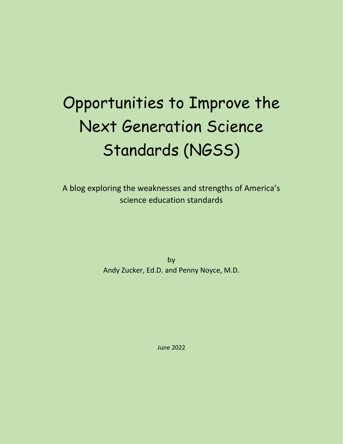# Opportunities to Improve the Next Generation Science Standards (NGSS)

A blog exploring the weaknesses and strengths of America's science education standards

> by Andy Zucker, Ed.D. and Penny Noyce, M.D.

> > June 2022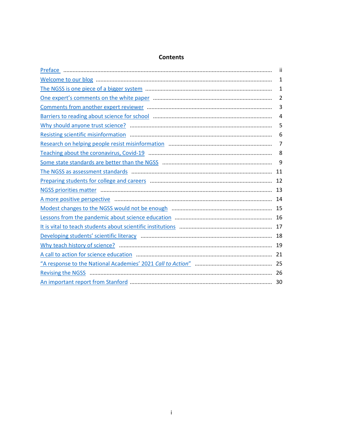|                                                                                                                | Ϊİ |
|----------------------------------------------------------------------------------------------------------------|----|
|                                                                                                                | 1  |
|                                                                                                                | 1  |
|                                                                                                                | 2  |
|                                                                                                                | 3  |
|                                                                                                                | 4  |
|                                                                                                                | 5  |
|                                                                                                                | 6  |
|                                                                                                                | 7  |
|                                                                                                                | 8  |
|                                                                                                                | 9  |
|                                                                                                                | 11 |
|                                                                                                                | 12 |
|                                                                                                                | 13 |
| A more positive perspective manufacture contracts and a more problem in the manufacture of the manufacture of  | 14 |
|                                                                                                                | 15 |
|                                                                                                                |    |
|                                                                                                                | 17 |
|                                                                                                                | 18 |
|                                                                                                                | 19 |
|                                                                                                                |    |
|                                                                                                                |    |
| Revising the NGSS Manual Communication and the United States and Terms and Terms and Terms and Terms and Terms | 26 |
|                                                                                                                | 30 |

# **Contents**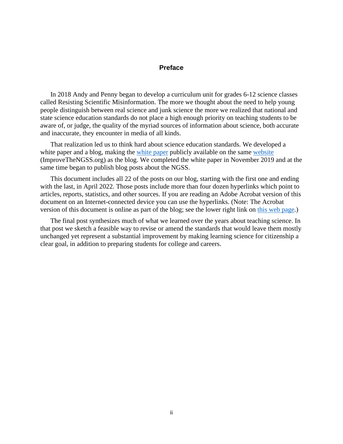# **Preface**

<span id="page-2-0"></span>In 2018 Andy and Penny began to develop a curriculum unit for grades 6-12 science classes called Resisting Scientific Misinformation. The more we thought about the need to help young people distinguish between real science and junk science the more we realized that national and state science education standards do not place a high enough priority on teaching students to be aware of, or judge, the quality of the myriad sources of information about science, both accurate and inaccurate, they encounter in media of all kinds.

That realization led us to think hard about science education standards. We developed a white paper and a blog, making the [white paper](https://improvethengss.org/white-paper/) publicly available on the same [website](https://improvethengss.org/) (ImproveTheNGSS.org) as the blog. We completed the white paper in November 2019 and at the same time began to publish blog posts about the NGSS.

This document includes all 22 of the posts on our blog, starting with the first one and ending with the last, in April 2022. Those posts include more than four dozen hyperlinks which point to articles, reports, statistics, and other sources. If you are reading an Adobe Acrobat version of this document on an Internet-connected device you can use the hyperlinks. (Note: The Acrobat version of this document is online as part of the blog; see the lower right link on [this web page.](https://improvethengss.org/blog/))

The final post synthesizes much of what we learned over the years about teaching science. In that post we sketch a feasible way to revise or amend the standards that would leave them mostly unchanged yet represent a substantial improvement by making learning science for citizenship a clear goal, in addition to preparing students for college and careers.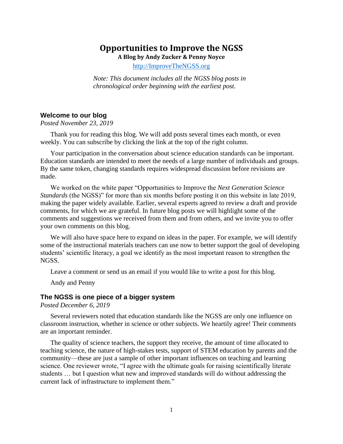# **Opportunities to Improve the NGSS A Blog by Andy Zucker & Penny Noyce**

http://ImproveTheNGSS.org

*Note: This document includes all the NGSS blog posts in chronological order beginning with the earliest post.* 

# <span id="page-3-0"></span>**Welcome to our blog**

*Posted November 23, 2019*

Thank you for reading this blog. We will add posts several times each month, or even weekly. You can subscribe by clicking the link at the top of the right column.

Your participation in the conversation about science education standards can be important. Education standards are intended to meet the needs of a large number of individuals and groups. By the same token, changing standards requires widespread discussion before revisions are made.

We worked on the white paper "Opportunities to Improve the *Next Generation Science Standards* (the NGSS)" for more than six months before posting it on this website in late 2019, making the paper widely available. Earlier, several experts agreed to review a draft and provide comments, for which we are grateful. In future blog posts we will highlight some of the comments and suggestions we received from them and from others, and we invite you to offer your own comments on this blog.

We will also have space here to expand on ideas in the paper. For example, we will identify some of the instructional materials teachers can use now to better support the goal of developing students' scientific literacy, a goal we identify as the most important reason to strengthen the NGSS.

Leave a comment or send us an email if you would like to write a post for this blog.

Andy and Penny

# <span id="page-3-1"></span>**The NGSS is one piece of a bigger system**

*Posted December 6, 2019* 

Several reviewers noted that education standards like the NGSS are only one influence on classroom instruction, whether in science or other subjects. We heartily agree! Their comments are an important reminder.

The quality of science teachers, the support they receive, the amount of time allocated to teaching science, the nature of high-stakes tests, support of STEM education by parents and the community—these are just a sample of other important influences on teaching and learning science. One reviewer wrote, "I agree with the ultimate goals for raising scientifically literate students … but I question what new and improved standards will do without addressing the current lack of infrastructure to implement them."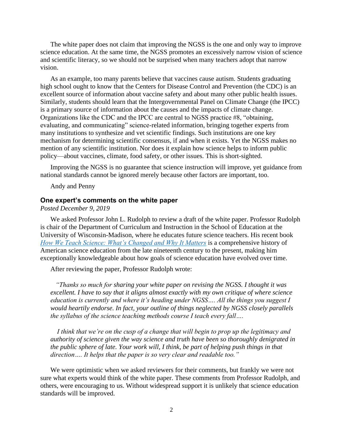The white paper does not claim that improving the NGSS is the one and only way to improve science education. At the same time, the NGSS promotes an excessively narrow vision of science and scientific literacy, so we should not be surprised when many teachers adopt that narrow vision.

As an example, too many parents believe that vaccines cause autism. Students graduating high school ought to know that the Centers for Disease Control and Prevention (the CDC) is an excellent source of information about vaccine safety and about many other public health issues. Similarly, students should learn that the Intergovernmental Panel on Climate Change (the IPCC) is a primary source of information about the causes and the impacts of climate change. Organizations like the CDC and the IPCC are central to NGSS practice #8, "obtaining, evaluating, and communicating" science-related information, bringing together experts from many institutions to synthesize and vet scientific findings. Such institutions are one key mechanism for determining scientific consensus, if and when it exists. Yet the NGSS makes no mention of any scientific institution. Nor does it explain how science helps to inform public policy—about vaccines, climate, food safety, or other issues. This is short-sighted.

Improving the NGSS is no guarantee that science instruction will improve, yet guidance from national standards cannot be ignored merely because other factors are important, too.

Andy and Penny

#### <span id="page-4-0"></span>**One expert's comments on the white paper**

#### *Posted December 9, 2019*

We asked Professor John L. Rudolph to review a draft of the white paper. Professor Rudolph is chair of the Department of Curriculum and Instruction in the School of Education at the University of Wisconsin-Madison, where he educates future science teachers. His recent book *[How We Teach Science: What's Changed and Why It Matters](https://www.hup.harvard.edu/catalog.php?isbn=9780674919341)* is a comprehensive history of American science education from the late nineteenth century to the present, making him exceptionally knowledgeable about how goals of science education have evolved over time.

After reviewing the paper, Professor Rudolph wrote:

 *"Thanks so much for sharing your white paper on revising the NGSS. I thought it was excellent. I have to say that it aligns almost exactly with my own critique of where science education is currently and where it's heading under NGSS…. All the things you suggest I would heartily endorse. In fact, your outline of things neglected by NGSS closely parallels the syllabus of the science teaching methods course I teach every fall….*

 *I think that we're on the cusp of a change that will begin to prop up the legitimacy and authority of science given the way science and truth have been so thoroughly denigrated in the public sphere of late. Your work will, I think, be part of helping push things in that direction…. It helps that the paper is so very clear and readable too."*

We were optimistic when we asked reviewers for their comments, but frankly we were not sure what experts would think of the white paper. These comments from Professor Rudolph, and others, were encouraging to us. Without widespread support it is unlikely that science education standards will be improved.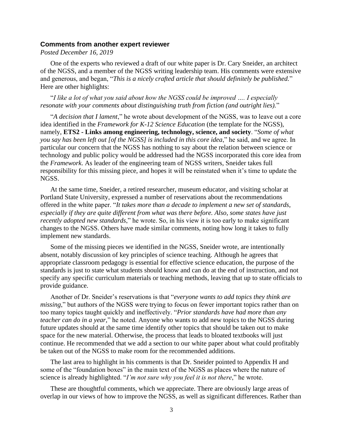## <span id="page-5-0"></span>**Comments from another expert reviewer**

*Posted December 16, 2019*

One of the experts who reviewed a draft of our white paper is Dr. Cary Sneider, an architect of the NGSS, and a member of the NGSS writing leadership team. His comments were extensive and generous, and began, "*This is a nicely crafted article that should definitely be published.*" Here are other highlights:

"*I like a lot of what you said about how the NGSS could be improved …. I especially resonate with your comments about distinguishing truth from fiction (and outright lies).*"

"*A decision that I lament*," he wrote about development of the NGSS, was to leave out a core idea identified in the *Framework for K-12 Science Education* (the template for the NGSS), namely, **ETS2 - Links among engineering, technology, science, and society**. "*Some of what you say has been left out [of the NGSS] is included in this core idea*," he said, and we agree. In particular our concern that the NGSS has nothing to say about the relation between science or technology and public policy would be addressed had the NGSS incorporated this core idea from the *Framework*. As leader of the engineering team of NGSS writers, Sneider takes full responsibility for this missing piece, and hopes it will be reinstated when it's time to update the NGSS.

At the same time, Sneider, a retired researcher, museum educator, and visiting scholar at Portland State University, expressed a number of reservations about the recommendations offered in the white paper. "*It takes more than a decade to implement a new set of standards*, *especially if they are quite different from what was there before. Also, some states have just recently adopted new standards*," he wrote. So, in his view it is too early to make significant changes to the NGSS. Others have made similar comments, noting how long it takes to fully implement new standards.

Some of the missing pieces we identified in the NGSS, Sneider wrote, are intentionally absent, notably discussion of key principles of science teaching. Although he agrees that appropriate classroom pedagogy is essential for effective science education, the purpose of the standards is just to state what students should know and can do at the end of instruction, and not specify any specific curriculum materials or teaching methods, leaving that up to state officials to provide guidance.

Another of Dr. Sneider's reservations is that "*everyone wants to add topics they think are missing*," but authors of the NGSS were trying to focus on fewer important topics rather than on too many topics taught quickly and ineffectively. "*Prior standards have had more than any teacher can do in a year,*" he noted. Anyone who wants to add new topics to the NGSS during future updates should at the same time identify other topics that should be taken out to make space for the new material. Otherwise, the process that leads to bloated textbooks will just continue. He recommended that we add a section to our white paper about what could profitably be taken out of the NGSS to make room for the recommended additions.

The last area to highlight in his comments is that Dr. Sneider pointed to Appendix H and some of the "foundation boxes" in the main text of the NGSS as places where the nature of science is already highlighted. "*I'm not sure why you feel it is not there*," he wrote.

These are thoughtful comments, which we appreciate. There are obviously large areas of overlap in our views of how to improve the NGSS, as well as significant differences. Rather than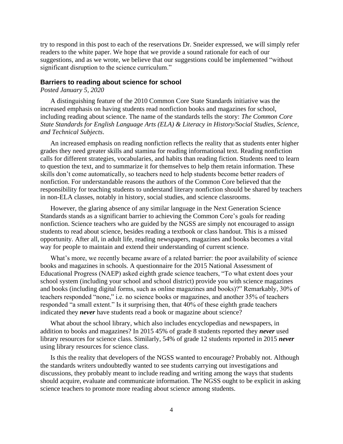try to respond in this post to each of the reservations Dr. Sneider expressed, we will simply refer readers to the white paper. We hope that we provide a sound rationale for each of our suggestions, and as we wrote, we believe that our suggestions could be implemented "without significant disruption to the science curriculum."

#### <span id="page-6-0"></span>**Barriers to reading about science for school**

*Posted January 5, 2020*

A distinguishing feature of the 2010 Common Core State Standards initiative was the increased emphasis on having students read nonfiction books and magazines for school, including reading about science. The name of the standards tells the story: *The Common Core State Standards for English Language Arts (ELA) & Literacy in History/Social Studies, Science, and Technical Subjects*.

An increased emphasis on reading nonfiction reflects the reality that as students enter higher grades they need greater skills and stamina for reading informational text. Reading nonfiction calls for different strategies, vocabularies, and habits than reading fiction. Students need to learn to question the text, and to summarize it for themselves to help them retain information. These skills don't come automatically, so teachers need to help students become better readers of nonfiction. For understandable reasons the authors of the Common Core believed that the responsibility for teaching students to understand literary nonfiction should be shared by teachers in non-ELA classes, notably in history, social studies, and science classrooms.

However, the glaring absence of any similar language in the Next Generation Science Standards stands as a significant barrier to achieving the Common Core's goals for reading nonfiction. Science teachers who are guided by the NGSS are simply not encouraged to assign students to read about science, besides reading a textbook or class handout. This is a missed opportunity. After all, in adult life, reading newspapers, magazines and books becomes a vital way for people to maintain and extend their understanding of current science.

What's more, we recently became aware of a related barrier: the poor availability of science books and magazines in schools. A questionnaire for the 2015 National Assessment of Educational Progress (NAEP) asked eighth grade science teachers, "To what extent does your school system (including your school and school district) provide you with science magazines and books (including digital forms, such as online magazines and books)?" Remarkably, 30% of teachers responded "none," i.e. no science books or magazines, and another 35% of teachers responded "a small extent." Is it surprising then, that 40% of these eighth grade teachers indicated they *never* have students read a book or magazine about science?

What about the school library, which also includes encyclopedias and newspapers, in addition to books and magazines? In 2015 45% of grade 8 students reported they *never* used library resources for science class. Similarly, 54% of grade 12 students reported in 2015 *never* using library resources for science class.

Is this the reality that developers of the NGSS wanted to encourage? Probably not. Although the standards writers undoubtedly wanted to see students carrying out investigations and discussions, they probably meant to include reading and writing among the ways that students should acquire, evaluate and communicate information. The NGSS ought to be explicit in asking science teachers to promote more reading about science among students.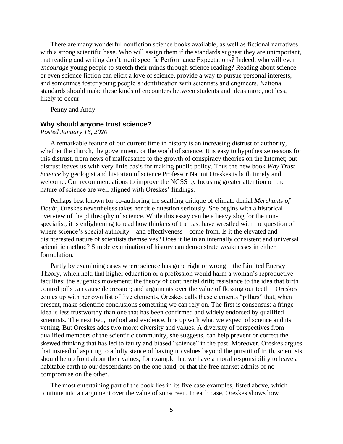There are many wonderful nonfiction science books available, as well as fictional narratives with a strong scientific base. Who will assign them if the standards suggest they are unimportant, that reading and writing don't merit specific Performance Expectations? Indeed, who will even *encourage* young people to stretch their minds through science reading? Reading about science or even science fiction can elicit a love of science, provide a way to pursue personal interests, and sometimes foster young people's identification with scientists and engineers. National standards should make these kinds of encounters between students and ideas more, not less, likely to occur.

Penny and Andy

#### <span id="page-7-0"></span>**Why should anyone trust science?**

#### *Posted January 16, 2020*

A remarkable feature of our current time in history is an increasing distrust of authority, whether the church, the government, or the world of science. It is easy to hypothesize reasons for this distrust, from news of malfeasance to the growth of conspiracy theories on the Internet; but distrust leaves us with very little basis for making public policy. Thus the new book *Why Trust Science* by geologist and historian of science Professor Naomi Oreskes is both timely and welcome. Our recommendations to improve the NGSS by focusing greater attention on the nature of science are well aligned with Oreskes' findings.

Perhaps best known for co-authoring the scathing critique of climate denial *Merchants of Doubt,* Oreskes nevertheless takes her title question seriously. She begins with a historical overview of the philosophy of science. While this essay can be a heavy slog for the nonspecialist, it is enlightening to read how thinkers of the past have wrestled with the question of where science's special authority—and effectiveness—come from. Is it the elevated and disinterested nature of scientists themselves? Does it lie in an internally consistent and universal scientific method? Simple examination of history can demonstrate weaknesses in either formulation.

Partly by examining cases where science has gone right or wrong—the Limited Energy Theory, which held that higher education or a profession would harm a woman's reproductive faculties; the eugenics movement; the theory of continental drift; resistance to the idea that birth control pills can cause depression; and arguments over the value of flossing our teeth—Oreskes comes up with her own list of five elements. Oreskes calls these elements "pillars" that, when present, make scientific conclusions something we can rely on. The first is consensus: a fringe idea is less trustworthy than one that has been confirmed and widely endorsed by qualified scientists. The next two, method and evidence, line up with what we expect of science and its vetting. But Oreskes adds two more: diversity and values. A diversity of perspectives from qualified members of the scientific community, she suggests, can help prevent or correct the skewed thinking that has led to faulty and biased "science" in the past. Moreover, Oreskes argues that instead of aspiring to a lofty stance of having no values beyond the pursuit of truth, scientists should be up front about their values, for example that we have a moral responsibility to leave a habitable earth to our descendants on the one hand, or that the free market admits of no compromise on the other.

The most entertaining part of the book lies in its five case examples, listed above, which continue into an argument over the value of sunscreen. In each case, Oreskes shows how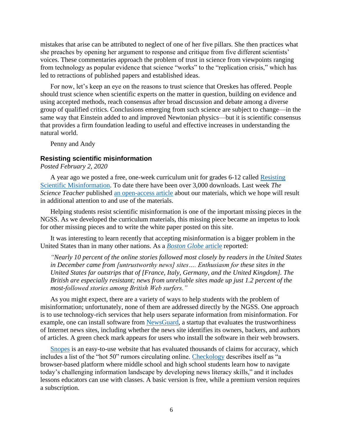mistakes that arise can be attributed to neglect of one of her five pillars. She then practices what she preaches by opening her argument to response and critique from five different scientists' voices. These commentaries approach the problem of trust in science from viewpoints ranging from technology as popular evidence that science "works" to the "replication crisis," which has led to retractions of published papers and established ideas.

For now, let's keep an eye on the reasons to trust science that Oreskes has offered. People should trust science when scientific experts on the matter in question, building on evidence and using accepted methods, reach consensus after broad discussion and debate among a diverse group of qualified critics. Conclusions emerging from such science are subject to change—in the same way that Einstein added to and improved Newtonian physics—but it is scientific consensus that provides a firm foundation leading to useful and effective increases in understanding the natural world.

Penny and Andy

## <span id="page-8-0"></span>**Resisting scientific misinformation**

*Posted February 2, 2020*

A year ago we posted a free, one-week curriculum unit for grades 6-12 called [Resisting](https://tumblehomebooks.org/services/resisting-scientific-misinformation/)  [Scientific Misinformation.](https://tumblehomebooks.org/services/resisting-scientific-misinformation/) To date there have been over 3,000 downloads. Last week *The Science Teacher* published [an open-access article](https://www.nsta.org/publications/article.aspx?id=bNApeJFhPcI=) about our materials, which we hope will result in additional attention to and use of the materials.

Helping students resist scientific misinformation is one of the important missing pieces in the NGSS. As we developed the curriculum materials, this missing piece became an impetus to look for other missing pieces and to write the white paper posted on this site.

It was interesting to learn recently that accepting misinformation is a bigger problem in the United States than in many other nations. As a *[Boston Globe](https://www.bostonglobe.com/business/2020/01/17/survey-says-love-our-fake-news/kw0E8MYRpkH3LCJqJNe0nL/story.html)* article reported:

*"Nearly 10 percent of the online stories followed most closely by readers in the United States in December came from [untrustworthy news] sites…. Enthusiasm for these sites in the United States far outstrips that of [France, Italy, Germany, and the United Kingdom]. The British are especially resistant; news from unreliable sites made up just 1.2 percent of the most-followed stories among British Web surfers."*

As you might expect, there are a variety of ways to help students with the problem of misinformation; unfortunately, none of them are addressed directly by the NGSS. One approach is to use technology-rich services that help users separate information from misinformation. For example, one can install software from [NewsGuard,](https://www.newsguardtech.com/) a startup that evaluates the trustworthiness of Internet news sites, including whether the news site identifies its owners, backers, and authors of articles. A green check mark appears for users who install the software in their web browsers.

[Snopes](http://www.snopes.com/) is an easy-to-use website that has evaluated thousands of claims for accuracy, which includes a list of the "hot 50" rumors circulating online. [Checkology](file:///C:/Users/Andrew/Documents/Personal/Concord/Proposals/Misinformation/NGSS%20article/Blog/get.checkology.org) describes itself as "a browser-based platform where middle school and high school students learn how to navigate today's challenging information landscape by developing news literacy skills," and it includes lessons educators can use with classes. A basic version is free, while a premium version requires a subscription.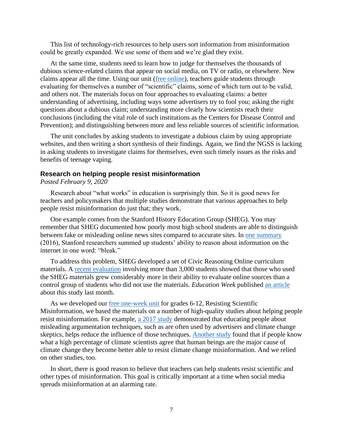This list of technology-rich resources to help users sort information from misinformation could be greatly expanded. We use some of them and we're glad they exist.

At the same time, students need to learn how to judge for themselves the thousands of dubious science-related claims that appear on social media, on TV or radio, or elsewhere. New claims appear all the time. Using our unit [\(free online\)](https://tumblehomebooks.org/services/resisting-scientific-misinformation/), teachers guide students through evaluating for themselves a number of "scientific" claims, some of which turn out to be valid, and others not. The materials focus on four approaches to evaluating claims: a better understanding of advertising, including ways some advertisers try to fool you; asking the right questions about a dubious claim; understanding more clearly how scientists reach their conclusions (including the vital role of such institutions as the Centers for Disease Control and Prevention); and distinguishing between more and less reliable sources of scientific information.

The unit concludes by asking students to investigate a dubious claim by using appropriate websites, and then writing a short synthesis of their findings. Again, we find the NGSS is lacking in asking students to investigate claims for themselves, even such timely issues as the risks and benefits of teenage vaping.

# <span id="page-9-0"></span>**Research on helping people resist misinformation**

# *Posted February 9, 2020*

Research about "what works" in education is surprisingly thin. So it is good news for teachers and policymakers that multiple studies demonstrate that various approaches to help people resist misinformation do just that; they work.

One example comes from the Stanford History Education Group (SHEG). You may remember that SHEG documented how poorly most high school students are able to distinguish between fake or misleading online news sites compared to accurate sites. In [one summary](https://stacks.stanford.edu/file/druid:fv751yt5934/SHEG%20Evaluating%20Information%20Online.pdf) (2016), Stanford researchers summed up students' ability to reason about information on the internet in one word: "bleak."

To address this problem, SHEG developed a set of Civic Reasoning Online curriculum materials. A [recent evaluation](https://purl.stanford.edu/xr124mv4805) involving more than 3,000 students showed that those who used the SHEG materials grew considerably more in their ability to evaluate online sources than a control group of students who did not use the materials. *Education Week* published [an article](http://blogs.edweek.org/teachers/teaching_now/2020/01/study_online_information_curriculum_sheg.html) about this study last month.

As we developed our [free one-week unit](https://tumblehomebooks.org/services/resisting-scientific-misinformation/) for grades 6-12, Resisting Scientific Misinformation, we based the materials on a number of high-quality studies about helping people resist misinformation. For example, [a 2017 study](https://journals.plos.org/plosone/article?id=10.1371/journal.pone.0175799) demonstrated that educating people about misleading argumentation techniques, such as are often used by advertisers and climate change skeptics, helps reduce the influence of those techniques. [Another study](https://onlinelibrary.wiley.com/doi/full/10.1002/gch2.201600008) found that if people know what a high percentage of climate scientists agree that human beings are the major cause of climate change they become better able to resist climate change misinformation. And we relied on other studies, too.

In short, there is good reason to believe that teachers can help students resist scientific and other types of misinformation. This goal is critically important at a time when social media spreads misinformation at an alarming rate.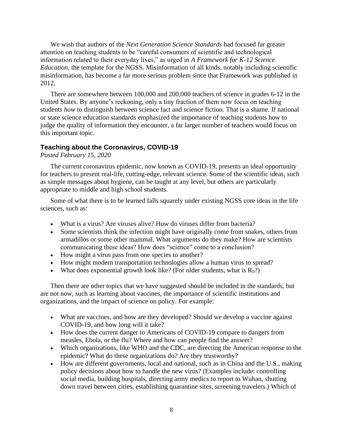We wish that authors of the *Next Generation Science Standards* had focused far greater attention on teaching students to be "careful consumers of scientific and technological information related to their everyday lives," as urged in *A Framework for K-12 Science Education*, the template for the NGSS. Misinformation of all kinds, notably including scientific misinformation, has become a far more serious problem since that Framework was published in 2012.

There are somewhere between 100,000 and 200,000 teachers of science in grades 6-12 in the United States. By anyone's reckoning, only a tiny fraction of them now focus on teaching students *how* to distinguish between science fact and science fiction. That is a shame. If national or state science education standards emphasized the importance of teaching students how to judge the quality of information they encounter, a far larger number of teachers would focus on this important topic.

## <span id="page-10-0"></span>**Teaching about the Coronavirus, COVID-19**

# *Posted February 15, 2020*

The current coronavirus epidemic, now known as COVID-19, presents an ideal opportunity for teachers to present real-life, cutting-edge, relevant science. Some of the scientific ideas, such as simple messages about hygiene, can be taught at any level, but others are particularly appropriate to middle and high school students.

Some of what there is to be learned falls squarely under existing NGSS core ideas in the life sciences, such as:

- What is a virus? Are viruses alive? How do viruses differ from bacteria?
- Some scientists think the infection might have originally come from snakes, others from armadillos or some other mammal. What arguments do they make? How are scientists communicating these ideas? How does "science" come to a conclusion?
- How might a virus pass from one species to another?
- How might modern transportation technologies allow a human virus to spread?
- What does exponential growth look like? (For older students, what is  $R_0$ ?)

Then there are other topics that we have suggested should be included in the standards, but are not now, such as learning about vaccines, the importance of scientific institutions and organizations, and the impact of science on policy. For example:

- What are vaccines, and how are they developed? Should we develop a vaccine against COVID-19, and how long will it take?
- How does the current danger to Americans of COVID-19 compare to dangers from measles, Ebola, or the flu? Where and how can people find the answer?
- Which organizations, like WHO and the CDC, are directing the American response to the epidemic? What do these organizations do? Are they trustworthy?
- How are different governments, local and national, such as in China and the U.S., making policy decisions about how to handle the new virus? (Examples include: controlling social media, building hospitals, directing army medics to report to Wuhan, shutting down travel between cities, establishing quarantine sites, screening travelers.) Which of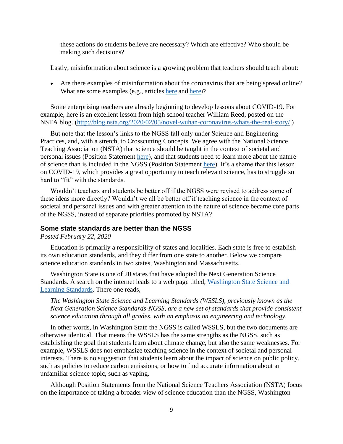these actions do students believe are necessary? Which are effective? Who should be making such decisions?

Lastly, misinformation about science is a growing problem that teachers should teach about:

• Are there examples of misinformation about the coronavirus that are being spread online? What are some examples (e.g., articles [here](https://www.fastcompany.com/90458212/the-scariest-part-about-the-coronavirus-misinformation) and here)?

Some enterprising teachers are already beginning to develop lessons about COVID-19. For example, here is an excellent lesson from high school teacher William Reed, posted on the NSTA blog. [\(http://blog.nsta.org/2020/02/05/novel-wuhan-coronavirus-whats-the-real-story/](http://blog.nsta.org/2020/02/05/novel-wuhan-coronavirus-whats-the-real-story/) )

But note that the lesson's links to the NGSS fall only under Science and Engineering Practices, and, with a stretch, to Crosscutting Concepts. We agree with the National Science Teaching Association (NSTA) that science should be taught in the context of societal and personal issues (Position Statement [here\)](https://www.nsta.org/about/positions/societalpersonalissues.aspx), and that students need to learn more about the nature of science than is included in the NGSS (Position Statement [here\)](https://www.nsta.org/about/positions/natureofscience.aspx). It's a shame that this lesson on COVID-19, which provides a great opportunity to teach relevant science, has to struggle so hard to "fit" with the standards.

Wouldn't teachers and students be better off if the NGSS were revised to address some of these ideas more directly? Wouldn't we all be better off if teaching science in the context of societal and personal issues and with greater attention to the nature of science became core parts of the NGSS, instead of separate priorities promoted by NSTA?

# <span id="page-11-0"></span>**Some state standards are better than the NGSS**

# *Posted February 22, 2020*

Education is primarily a responsibility of states and localities. Each state is free to establish its own education standards, and they differ from one state to another. Below we compare science education standards in two states, Washington and Massachusetts.

Washington State is one of 20 states that have adopted the Next Generation Science Standards. A search on the internet leads to a web page titled, [Washington State Science and](https://www.k12.wa.us/student-success/resources-subject-area/science/science-k%E2%80%9312-learning-standards/washington-state-science-and-learning-standards)  [Learning Standards.](https://www.k12.wa.us/student-success/resources-subject-area/science/science-k%E2%80%9312-learning-standards/washington-state-science-and-learning-standards) There one reads,

*The Washington State Science and Learning Standards (WSSLS), previously known as the Next Generation Science Standards-NGSS, are a new set of standards that provide consistent science education through all grades, with an emphasis on engineering and technology.*

In other words, in Washington State the NGSS is called WSSLS, but the two documents are otherwise identical. That means the WSSLS has the same strengths as the NGSS, such as establishing the goal that students learn about climate change, but also the same weaknesses. For example, WSSLS does not emphasize teaching science in the context of societal and personal interests. There is no suggestion that students learn about the impact of science on public policy, such as policies to reduce carbon emissions, or how to find accurate information about an unfamiliar science topic, such as vaping.

Although Position Statements from the National Science Teachers Association (NSTA) focus on the importance of taking a broader view of science education than the NGSS, Washington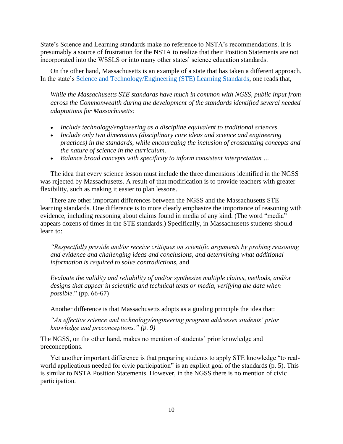State's Science and Learning standards make no reference to NSTA's recommendations. It is presumably a source of frustration for the NSTA to realize that their Position Statements are not incorporated into the WSSLS or into many other states' science education standards.

On the other hand, Massachusetts is an example of a state that has taken a different approach. In the state's [Science and Technology/Engineering \(STE\) Learning Standards,](http://www.doe.mass.edu/frameworks/scitech/2016-04.pdf) one reads that,

*While the Massachusetts STE standards have much in common with NGSS, public input from across the Commonwealth during the development of the standards identified several needed adaptations for Massachusetts:*

- *Include technology/engineering as a discipline equivalent to traditional sciences.*
- *Include only two dimensions (disciplinary core ideas and science and engineering practices) in the standards, while encouraging the inclusion of crosscutting concepts and the nature of science in the curriculum.*
- *Balance broad concepts with specificity to inform consistent interpretation …*

The idea that every science lesson must include the three dimensions identified in the NGSS was rejected by Massachusetts. A result of that modification is to provide teachers with greater flexibility, such as making it easier to plan lessons.

There are other important differences between the NGSS and the Massachusetts STE learning standards. One difference is to more clearly emphasize the importance of reasoning with evidence, including reasoning about claims found in media of any kind. (The word "media" appears dozens of times in the STE standards.) Specifically, in Massachusetts students should learn to:

*"Respectfully provide and/or receive critiques on scientific arguments by probing reasoning and evidence and challenging ideas and conclusions, and determining what additional information is required to solve contradictions,* and

*Evaluate the validity and reliability of and/or synthesize multiple claims, methods, and/or designs that appear in scientific and technical texts or media, verifying the data when possible.*" (pp. 66-67)

Another difference is that Massachusetts adopts as a guiding principle the idea that:

*"An effective science and technology/engineering program addresses students' prior knowledge and preconceptions." (p. 9)*

The NGSS, on the other hand, makes no mention of students' prior knowledge and preconceptions.

Yet another important difference is that preparing students to apply STE knowledge "to realworld applications needed for civic participation" is an explicit goal of the standards (p. 5). This is similar to NSTA Position Statements. However, in the NGSS there is no mention of civic participation.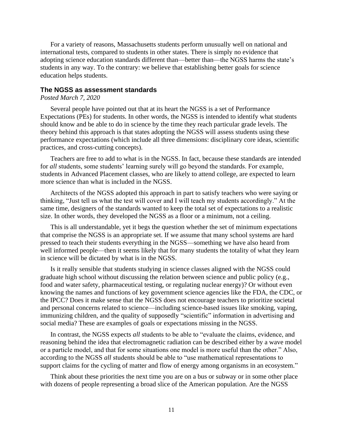For a variety of reasons, Massachusetts students perform unusually well on national and international tests, compared to students in other states. There is simply no evidence that adopting science education standards different than—better than—the NGSS harms the state's students in any way. To the contrary: we believe that establishing better goals for science education helps students.

#### <span id="page-13-0"></span>**The NGSS as assessment standards**

## *Posted March 7, 2020*

Several people have pointed out that at its heart the NGSS is a set of Performance Expectations (PEs) for students. In other words, the NGSS is intended to identify what students should know and be able to do in science by the time they reach particular grade levels. The theory behind this approach is that states adopting the NGSS will assess students using these performance expectations (which include all three dimensions: disciplinary core ideas, scientific practices, and cross-cutting concepts).

Teachers are free to add to what is in the NGSS. In fact, because these standards are intended for *all* students, some students' learning surely will go beyond the standards. For example, students in Advanced Placement classes, who are likely to attend college, are expected to learn more science than what is included in the NGSS.

Architects of the NGSS adopted this approach in part to satisfy teachers who were saying or thinking, "Just tell us what the test will cover and I will teach my students accordingly." At the same time, designers of the standards wanted to keep the total set of expectations to a realistic size. In other words, they developed the NGSS as a floor or a minimum, not a ceiling.

This is all understandable, yet it begs the question whether the set of minimum expectations that comprise the NGSS is an appropriate set. If we assume that many school systems are hard pressed to teach their students everything in the NGSS—something we have also heard from well informed people—then it seems likely that for many students the totality of what they learn in science will be dictated by what is in the NGSS.

Is it really sensible that students studying in science classes aligned with the NGSS could graduate high school without discussing the relation between science and public policy (e.g., food and water safety, pharmaceutical testing, or regulating nuclear energy)? Or without even knowing the names and functions of key government science agencies like the FDA, the CDC, or the IPCC? Does it make sense that the NGSS does not encourage teachers to prioritize societal and personal concerns related to science—including science-based issues like smoking, vaping, immunizing children, and the quality of supposedly "scientific" information in advertising and social media? These are examples of goals or expectations missing in the NGSS.

In contrast, the NGSS expects *all* students to be able to "evaluate the claims, evidence, and reasoning behind the idea that electromagnetic radiation can be described either by a wave model or a particle model, and that for some situations one model is more useful than the other." Also, according to the NGSS *all* students should be able to "use mathematical representations to support claims for the cycling of matter and flow of energy among organisms in an ecosystem."

Think about these priorities the next time you are on a bus or subway or in some other place with dozens of people representing a broad slice of the American population. Are the NGSS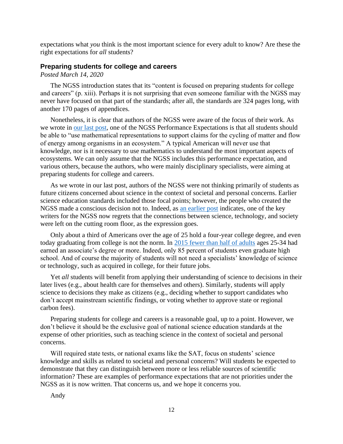expectations what *you* think is the most important science for every adult to know? Are these the right expectations for *all* students?

#### <span id="page-14-0"></span>**Preparing students for college and careers**

*Posted March 14, 2020*

The NGSS introduction states that its "content is focused on preparing students for college and careers" (p. xiii). Perhaps it is not surprising that even someone familiar with the NGSS may never have focused on that part of the standards; after all, the standards are 324 pages long, with another 170 pages of appendices.

Nonetheless, it is clear that authors of the NGSS were aware of the focus of their work. As we wrote in [our last post,](https://improvethengss.org/2020/03/07/the-ngss-as-assessment-standards/) one of the NGSS Performance Expectations is that all students should be able to "use mathematical representations to support claims for the cycling of matter and flow of energy among organisms in an ecosystem." A typical American will never use that knowledge, nor is it necessary to use mathematics to understand the most important aspects of ecosystems. We can only assume that the NGSS includes this performance expectation, and various others, because the authors, who were mainly disciplinary specialists, were aiming at preparing students for college and careers.

As we wrote in our last post, authors of the NGSS were not thinking primarily of students as future citizens concerned about science in the context of societal and personal concerns. Earlier science education standards included those focal points; however, the people who created the NGSS made a conscious decision not to. Indeed, as [an earlier post](https://improvethengss.org/2019/12/16/comments-from-another-expert-reviewer/) indicates, one of the key writers for the NGSS now regrets that the connections between science, technology, and society were left on the cutting room floor, as the expression goes.

Only about a third of Americans over the age of 25 hold a four-year college degree, and even today graduating from college is not the norm. In [2015 fewer than half of adults](https://www.census.gov/content/dam/Census/library/publications/2016/demo/p20-578.pdf) ages 25-34 had earned an associate's degree or more. Indeed, only 85 percent of students even graduate high school. And of course the majority of students will not need a specialists' knowledge of science or technology, such as acquired in college, for their future jobs.

Yet *all* students will benefit from applying their understanding of science to decisions in their later lives (e.g., about health care for themselves and others). Similarly, students will apply science to decisions they make as citizens (e.g., deciding whether to support candidates who don't accept mainstream scientific findings, or voting whether to approve state or regional carbon fees).

Preparing students for college and careers is a reasonable goal, up to a point. However, we don't believe it should be the exclusive goal of national science education standards at the expense of other priorities, such as teaching science in the context of societal and personal concerns.

Will required state tests, or national exams like the SAT, focus on students' science knowledge and skills as related to societal and personal concerns? Will students be expected to demonstrate that they can distinguish between more or less reliable sources of scientific information? These are examples of performance expectations that are not priorities under the NGSS as it is now written. That concerns us, and we hope it concerns you.

Andy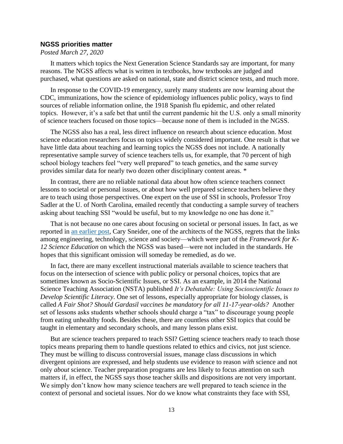## <span id="page-15-0"></span>**NGSS priorities matter**

*Posted March 27, 2020*

It matters which topics the Next Generation Science Standards say are important, for many reasons. The NGSS affects what is written in textbooks, how textbooks are judged and purchased, what questions are asked on national, state and district science tests, and much more.

In response to the COVID-19 emergency, surely many students are now learning about the CDC, immunizations, how the science of epidemiology influences public policy, ways to find sources of reliable information online, the 1918 Spanish flu epidemic, and other related topics. However, it's a safe bet that until the current pandemic hit the U.S. only a small minority of science teachers focused on those topics—because none of them is included in the NGSS.

The NGSS also has a real, less direct influence on research about science education. Most science education researchers focus on topics widely considered important. One result is that we have little data about teaching and learning topics the NGSS does not include. A nationally representative sample survey of science teachers tells us, for example, that 70 percent of high school biology teachers feel "very well prepared" to teach genetics, and the same survey provides similar data for nearly two dozen other disciplinary content areas. \*

In contrast, there are no reliable national data about how often science teachers connect lessons to societal or personal issues, or about how well prepared science teachers believe they are to teach using those perspectives. One expert on the use of SSI in schools, Professor Troy Sadler at the U. of North Carolina, emailed recently that conducting a sample survey of teachers asking about teaching SSI "would be useful, but to my knowledge no one has done it."

That is not because no one cares about focusing on societal or personal issues. In fact, as we reported in [an earlier post,](https://improvethengss.org/2019/12/16/comments-from-another-expert-reviewer/) Cary Sneider, one of the architects of the NGSS, regrets that the links among engineering, technology, science and society—which were part of the *Framework for K-12 Science Education* on which the NGSS was based—were not included in the standards. He hopes that this significant omission will someday be remedied, as do we.

In fact, there are many excellent instructional materials available to science teachers that focus on the intersection of science with public policy or personal choices, topics that are sometimes known as Socio-Scientific Issues, or SSI. As an example, in 2014 the National Science Teaching Association (NSTA) published *It's Debatable: Using Socioscientific Issues to Develop Scientific Literacy*. One set of lessons, especially appropriate for biology classes, is called *A Fair Shot? Should Gardasil vaccines be mandatory for all 11-17-year-olds?* Another set of lessons asks students whether schools should charge a "tax" to discourage young people from eating unhealthy foods. Besides these, there are countless other SSI topics that could be taught in elementary and secondary schools, and many lesson plans exist.

But are science teachers prepared to teach SSI? Getting science teachers ready to teach those topics means preparing them to handle questions related to ethics and civics, not just science. They must be willing to discuss controversial issues, manage class discussions in which divergent opinions are expressed, and help students use evidence to reason *with* science and not only *about* science. Teacher preparation programs are less likely to focus attention on such matters if, in effect, the NGSS says those teacher skills and dispositions are not very important. We simply don't know how many science teachers are well prepared to teach science in the context of personal and societal issues. Nor do we know what constraints they face with SSI,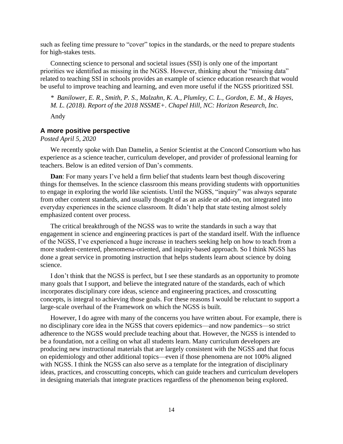such as feeling time pressure to "cover" topics in the standards, or the need to prepare students for high-stakes tests.

Connecting science to personal and societal issues (SSI) is only one of the important priorities we identified as missing in the NGSS. However, thinking about the "missing data" related to teaching SSI in schools provides an example of science education research that would be useful to improve teaching and learning, and even more useful if the NGSS prioritized SSI.

*\* Banilower, E. R., Smith, P. S., Malzahn, K. A., Plumley, C. L., Gordon, E. M., & Hayes, M. L. (2018). Report of the 2018 NSSME+. Chapel Hill, NC: Horizon Research, Inc.*

Andy

# <span id="page-16-0"></span>**A more positive perspective**

*Posted April 5, 2020*

We recently spoke with Dan Damelin, a Senior Scientist at the Concord Consortium who has experience as a science teacher, curriculum developer, and provider of professional learning for teachers. Below is an edited version of Dan's comments.

**Dan**: For many years I've held a firm belief that students learn best though discovering things for themselves. In the science classroom this means providing students with opportunities to engage in exploring the world like scientists. Until the NGSS, "inquiry" was always separate from other content standards, and usually thought of as an aside or add-on, not integrated into everyday experiences in the science classroom. It didn't help that state testing almost solely emphasized content over process.

The critical breakthrough of the NGSS was to write the standards in such a way that engagement in science and engineering practices is part of the standard itself. With the influence of the NGSS, I've experienced a huge increase in teachers seeking help on how to teach from a more student-centered, phenomena-oriented, and inquiry-based approach. So I think NGSS has done a great service in promoting instruction that helps students learn about science by doing science.

I don't think that the NGSS is perfect, but I see these standards as an opportunity to promote many goals that I support, and believe the integrated nature of the standards, each of which incorporates disciplinary core ideas, science and engineering practices, and crosscutting concepts, is integral to achieving those goals. For these reasons I would be reluctant to support a large-scale overhaul of the Framework on which the NGSS is built.

However, I do agree with many of the concerns you have written about. For example, there is no disciplinary core idea in the NGSS that covers epidemics—and now pandemics—so strict adherence to the NGSS would preclude teaching about that. However, the NGSS is intended to be a foundation, not a ceiling on what all students learn. Many curriculum developers are producing new instructional materials that are largely consistent with the NGSS and that focus on epidemiology and other additional topics—even if those phenomena are not 100% aligned with NGSS. I think the NGSS can also serve as a template for the integration of disciplinary ideas, practices, and crosscutting concepts, which can guide teachers and curriculum developers in designing materials that integrate practices regardless of the phenomenon being explored.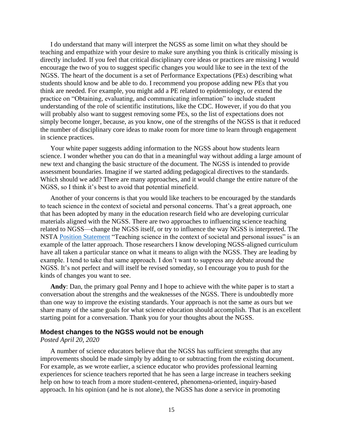I do understand that many will interpret the NGSS as some limit on what they should be teaching and empathize with your desire to make sure anything you think is critically missing is directly included. If you feel that critical disciplinary core ideas or practices are missing I would encourage the two of you to suggest specific changes you would like to see in the text of the NGSS. The heart of the document is a set of Performance Expectations (PEs) describing what students should know and be able to do. I recommend you propose adding new PEs that you think are needed. For example, you might add a PE related to epidemiology, or extend the practice on "Obtaining, evaluating, and communicating information" to include student understanding of the role of scientific institutions, like the CDC. However, if you do that you will probably also want to suggest removing some PEs, so the list of expectations does not simply become longer, because, as you know, one of the strengths of the NGSS is that it reduced the number of disciplinary core ideas to make room for more time to learn through engagement in science practices.

Your white paper suggests adding information to the NGSS about how students learn science. I wonder whether you can do that in a meaningful way without adding a large amount of new text and changing the basic structure of the document. The NGSS is intended to provide assessment boundaries. Imagine if we started adding pedagogical directives to the standards. Which should we add? There are many approaches, and it would change the entire nature of the NGSS, so I think it's best to avoid that potential minefield.

Another of your concerns is that you would like teachers to be encouraged by the standards to teach science in the context of societal and personal concerns. That's a great approach, one that has been adopted by many in the education research field who are developing curricular materials aligned with the NGSS. There are two approaches to influencing science teaching related to NGSS—change the NGSS itself, or try to influence the way NGSS is interpreted. The NSTA [Position Statement](https://www.nsta.org/about/positions/societalpersonalissues.aspx) "Teaching science in the context of societal and personal issues" is an example of the latter approach. Those researchers I know developing NGSS-aligned curriculum have all taken a particular stance on what it means to align with the NGSS. They are leading by example. I tend to take that same approach. I don't want to suppress any debate around the NGSS. It's not perfect and will itself be revised someday, so I encourage you to push for the kinds of changes you want to see.

**Andy**: Dan, the primary goal Penny and I hope to achieve with the white paper is to start a conversation about the strengths and the weaknesses of the NGSS. There is undoubtedly more than one way to improve the existing standards. Your approach is not the same as ours but we share many of the same goals for what science education should accomplish. That is an excellent starting point for a conversation. Thank you for your thoughts about the NGSS.

## <span id="page-17-0"></span>**Modest changes to the NGSS would not be enough**

#### *Posted April 20, 2020*

A number of science educators believe that the NGSS has sufficient strengths that any improvements should be made simply by adding to or subtracting from the existing document. For example, as we wrote earlier, a science educator who provides professional learning experiences for science teachers reported that he has seen a large increase in teachers seeking help on how to teach from a more student-centered, phenomena-oriented, inquiry-based approach. In his opinion (and he is not alone), the NGSS has done a service in promoting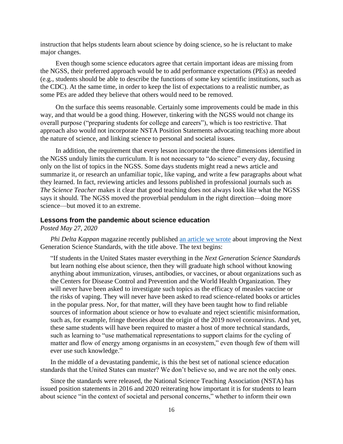instruction that helps students learn about science by doing science, so he is reluctant to make major changes.

Even though some science educators agree that certain important ideas are missing from the NGSS, their preferred approach would be to add performance expectations (PEs) as needed (e.g., students should be able to describe the functions of some key scientific institutions, such as the CDC). At the same time, in order to keep the list of expectations to a realistic number, as some PEs are added they believe that others would need to be removed.

On the surface this seems reasonable. Certainly some improvements could be made in this way, and that would be a good thing. However, tinkering with the NGSS would not change its overall purpose ("preparing students for college and careers"), which is too restrictive. That approach also would not incorporate NSTA Position Statements advocating teaching more about the nature of science, and linking science to personal and societal issues.

In addition, the requirement that every lesson incorporate the three dimensions identified in the NGSS unduly limits the curriculum. It is not necessary to "do science" every day, focusing only on the list of topics in the NGSS. Some days students might read a news article and summarize it, or research an unfamiliar topic, like vaping, and write a few paragraphs about what they learned. In fact, reviewing articles and lessons published in professional journals such as *The Science Teacher* makes it clear that good teaching does not always look like what the NGSS says it should. The NGSS moved the proverbial pendulum in the right direction—doing more science—but moved it to an extreme.

# <span id="page-18-0"></span>**Lessons from the pandemic about science education**

*Posted May 27, 2020*

*Phi Delta Kappan* magazine recently published [an article we wrote](https://kappanonline.org/lessons-from-covid-19-pandemic-science-education/) about improving the Next Generation Science Standards, with the title above. The text begins:

"If students in the United States master everything in the *Next Generation Science Standard*s but learn nothing else about science, then they will graduate high school without knowing anything about immunization, viruses, antibodies, or vaccines, or about organizations such as the Centers for Disease Control and Prevention and the World Health Organization. They will never have been asked to investigate such topics as the efficacy of measles vaccine or the risks of vaping. They will never have been asked to read science-related books or articles in the popular press. Nor, for that matter, will they have been taught how to find reliable sources of information about science or how to evaluate and reject scientific misinformation, such as, for example, fringe theories about the origin of the 2019 novel coronavirus. And yet, these same students will have been required to master a host of more technical standards, such as learning to "use mathematical representations to support claims for the cycling of matter and flow of energy among organisms in an ecosystem," even though few of them will ever use such knowledge."

In the middle of a devastating pandemic, is this the best set of national science education standards that the United States can muster? We don't believe so, and we are not the only ones.

Since the standards were released, the National Science Teaching Association (NSTA) has issued position statements in 2016 and 2020 reiterating how important it is for students to learn about science "in the context of societal and personal concerns," whether to inform their own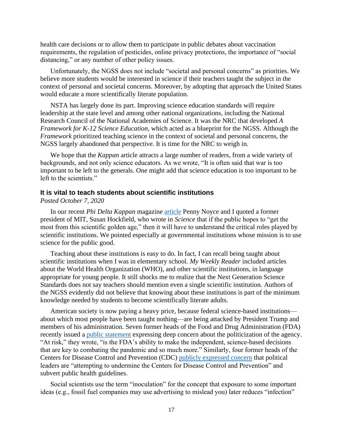health care decisions or to allow them to participate in public debates about vaccination requirements, the regulation of pesticides, online privacy protections, the importance of "social distancing," or any number of other policy issues.

Unfortunately, the NGSS does not include "societal and personal concerns" as priorities. We believe more students would be interested in science if their teachers taught the subject in the context of personal and societal concerns. Moreover, by adopting that approach the United States would educate a more scientifically literate population.

NSTA has largely done its part. Improving science education standards will require leadership at the state level and among other national organizations, including the National Research Council of the National Academies of Science. It was the NRC that developed *A Framework for K-12 Science Education*, which acted as a blueprint for the NGSS. Although the *Framework* prioritized teaching science in the context of societal and personal concerns, the NGSS largely abandoned that perspective. It is time for the NRC to weigh in.

We hope that the *Kappan* article attracts a large number of readers, from a wide variety of backgrounds, and not only science educators. As we wrote, "It is often said that war is too important to be left to the generals. One might add that science education is too important to be left to the scientists."

# <span id="page-19-0"></span>**It is vital to teach students about scientific institutions**

*Posted October 7, 2020*

In our recent *Phi Delta Kappan* magazine [article](https://kappanonline.org/lessons-from-covid-19-pandemic-science-education/) Penny Noyce and I quoted a former president of MIT, Susan Hockfield, who wrote in *Science* that if the public hopes to "get the most from this scientific golden age," then it will have to understand the critical roles played by scientific institutions. We pointed especially at governmental institutions whose mission is to use science for the public good.

Teaching about these institutions is easy to do. In fact, I can recall being taught about scientific institutions when I was in elementary school. *My Weekly Reader* included articles about the World Health Organization (WHO), and other scientific institutions, in language appropriate for young people. It still shocks me to realize that the Next Generation Science Standards does not say teachers should mention even a single scientific institution. Authors of the NGSS evidently did not believe that knowing about these institutions is part of the minimum knowledge needed by students to become scientifically literate adults.

American society is now paying a heavy price, because federal science-based institutions about which most people have been taught nothing—are being attacked by President Trump and members of his administration. Seven former heads of the Food and Drug Administration (FDA) recently issued a [public statement](https://www.washingtonpost.com/opinions/2020/09/29/former-fda-commissioners-coronavirus-vaccine-trump/) expressing deep concern about the politicization of the agency. "At risk," they wrote, "is the FDA's ability to make the independent, science-based decisions that are key to combating the pandemic and so much more." Similarly, four former heads of the Centers for Disease Control and Prevention (CDC) [publicly expressed concern](https://www.washingtonpost.com/outlook/2020/07/14/cdc-directors-trump-politics/) that political leaders are "attempting to undermine the Centers for Disease Control and Prevention" and subvert public health guidelines.

Social scientists use the term "inoculation" for the concept that exposure to some important ideas (e.g., fossil fuel companies may use advertising to mislead you) later reduces "infection"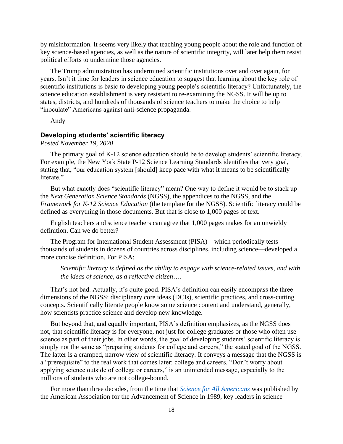by misinformation. It seems very likely that teaching young people about the role and function of key science-based agencies, as well as the nature of scientific integrity, will later help them resist political efforts to undermine those agencies.

The Trump administration has undermined scientific institutions over and over again, for years. Isn't it time for leaders in science education to suggest that learning about the key role of scientific institutions is basic to developing young people's scientific literacy? Unfortunately, the science education establishment is very resistant to re-examining the NGSS. It will be up to states, districts, and hundreds of thousands of science teachers to make the choice to help "inoculate" Americans against anti-science propaganda.

Andy

## <span id="page-20-0"></span>**Developing students' scientific literacy**

# *Posted November 19, 2020*

The primary goal of K-12 science education should be to develop students' scientific literacy. For example, the New York State P-12 Science Learning Standards identifies that very goal, stating that, "our education system [should] keep pace with what it means to be scientifically literate."

But what exactly does "scientific literacy" mean? One way to define it would be to stack up the *Next Generation Science Standards* (NGSS), the appendices to the NGSS, and the *Framework for K-12 Science Education* (the template for the NGSS). Scientific literacy could be defined as everything in those documents. But that is close to 1,000 pages of text.

English teachers and science teachers can agree that 1,000 pages makes for an unwieldy definition. Can we do better?

The Program for International Student Assessment (PISA)—which periodically tests thousands of students in dozens of countries across disciplines, including science—developed a more concise definition. For PISA:

*Scientific literacy is defined as the ability to engage with science-related issues, and with the ideas of science, as a reflective citizen*….

That's not bad. Actually, it's quite good. PISA's definition can easily encompass the three dimensions of the NGSS: disciplinary core ideas (DCIs), scientific practices, and cross-cutting concepts. Scientifically literate people know some science content and understand, generally, how scientists practice science and develop new knowledge.

But beyond that, and equally important, PISA's definition emphasizes, as the NGSS does not, that scientific literacy is for everyone, not just for college graduates or those who often use science as part of their jobs. In other words, the goal of developing students' scientific literacy is simply not the same as "preparing students for college and careers," the stated goal of the NGSS. The latter is a cramped, narrow view of scientific literacy. It conveys a message that the NGSS is a "prerequisite" to the real work that comes later: college and careers. "Don't worry about applying science outside of college or careers," is an unintended message, especially to the millions of students who are not college-bound.

For more than three decades, from the time that *[Science for All Americans](http://www.project2061.org/publications/sfaa/online/sfaatoc.htm)* was published by the American Association for the Advancement of Science in 1989, key leaders in science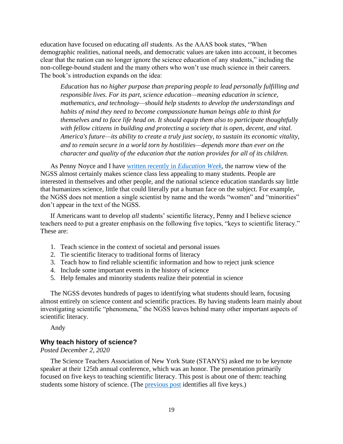education have focused on educating *all* students. As the AAAS book states, "When demographic realities, national needs, and democratic values are taken into account, it becomes clear that the nation can no longer ignore the science education of any students," including the non-college-bound student and the many others who won't use much science in their careers. The book's introduction expands on the idea:

*Education has no higher purpose than preparing people to lead personally fulfilling and responsible lives. For its part, science education—meaning education in science, mathematics, and technology—should help students to develop the understandings and habits of mind they need to become compassionate human beings able to think for themselves and to face life head on. It should equip them also to participate thoughtfully with fellow citizens in building and protecting a society that is open, decent, and vital. America's future—its ability to create a truly just society, to sustain its economic vitality, and to remain secure in a world torn by hostilities—depends more than ever on the character and quality of the education that the nation provides for all of its children.*

As Penny Noyce and I have [written recently in](https://www.edweek.org/ew/articles/2020/09/30/how-to-make-science-class-relevant-during.html) *Education Week*, the narrow view of the NGSS almost certainly makes science class less appealing to many students. People are interested in themselves and other people, and the national science education standards say little that humanizes science, little that could literally put a human face on the subject. For example, the NGSS does not mention a single scientist by name and the words "women" and "minorities" don't appear in the text of the NGSS.

If Americans want to develop *all* students' scientific literacy, Penny and I believe science teachers need to put a greater emphasis on the following five topics, "keys to scientific literacy." These are:

- 1. Teach science in the context of societal and personal issues
- 2. Tie scientific literacy to traditional forms of literacy
- 3. Teach how to find reliable scientific information and how to reject junk science
- 4. Include some important events in the history of science
- 5. Help females and minority students realize their potential in science

The NGSS devotes hundreds of pages to identifying what students should learn, focusing almost entirely on science content and scientific practices. By having students learn mainly about investigating scientific "phenomena," the NGSS leaves behind many other important aspects of scientific literacy.

Andy

# <span id="page-21-0"></span>**Why teach history of science?**

# *Posted December 2, 2020*

The Science Teachers Association of New York State (STANYS) asked me to be keynote speaker at their 125th annual conference, which was an honor. The presentation primarily focused on five keys to teaching scientific literacy. This post is about one of them: teaching students some history of science. (The [previous post](https://improvethengss.org/2020/11/19/developing-students-scientific-literacy/) identifies all five keys.)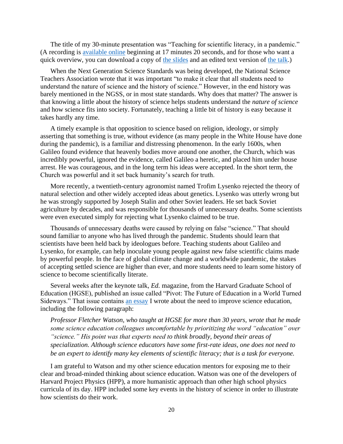The title of my 30-minute presentation was "Teaching for scientific literacy, in a pandemic." (A recording is [available online](https://www.youtube.com/watch?v=fF0Rww7fXUo) beginning at 17 minutes 20 seconds, and for those who want a quick overview, you can download a copy of [the slides](https://improvengss.files.wordpress.com/2020/12/handout-scientific-literacy-slides.pdf) and an edited text version of [the talk.](https://improvengss.files.wordpress.com/2020/12/stanys-talk-nov-7-short-version.pdf))

When the Next Generation Science Standards was being developed, the National Science Teachers Association wrote that it was important "to make it clear that all students need to understand the nature of science and the history of science." However, in the end history was barely mentioned in the NGSS, or in most state standards. Why does that matter? The answer is that knowing a little about the history of science helps students understand the *nature of science* and how science fits into society. Fortunately, teaching a little bit of history is easy because it takes hardly any time.

A timely example is that opposition to science based on religion, ideology, or simply asserting that something is true, without evidence (as many people in the White House have done during the pandemic), is a familiar and distressing phenomenon. In the early 1600s, when Galileo found evidence that heavenly bodies move around one another, the Church, which was incredibly powerful, ignored the evidence, called Galileo a heretic, and placed him under house arrest. He was courageous, and in the long term his ideas were accepted. In the short term, the Church was powerful and it set back humanity's search for truth.

More recently, a twentieth-century agronomist named Trofim Lysenko rejected the theory of natural selection and other widely accepted ideas about genetics. Lysenko was utterly wrong but he was strongly supported by Joseph Stalin and other Soviet leaders. He set back Soviet agriculture by decades, and was responsible for thousands of unnecessary deaths. Some scientists were even executed simply for rejecting what Lysenko claimed to be true.

Thousands of unnecessary deaths were caused by relying on false "science." That should sound familiar to anyone who has lived through the pandemic. Students should learn that scientists have been held back by ideologues before. Teaching students about Galileo and Lysenko, for example, can help inoculate young people against new false scientific claims made by powerful people. In the face of global climate change and a worldwide pandemic, the stakes of accepting settled science are higher than ever, and more students need to learn some history of science to become scientifically literate.

Several weeks after the keynote talk, *Ed.* magazine, from the Harvard Graduate School of Education (HGSE), published an issue called "Pivot: The Future of Education in a World Turned Sideways." That issue contains [an essay](https://www.gse.harvard.edu/news/ed/20/11/andy-zucker) I wrote about the need to improve science education, including the following paragraph:

*Professor Fletcher Watson, who taught at HGSE for more than 30 years, wrote that he made some science education colleagues uncomfortable by prioritizing the word "education" over "science." His point was that experts need to think broadly, beyond their areas of specialization. Although science educators have some first-rate ideas, one does not need to be an expert to identify many key elements of scientific literacy; that is a task for everyone.*

I am grateful to Watson and my other science education mentors for exposing me to their clear and broad-minded thinking about science education. Watson was one of the developers of Harvard Project Physics (HPP), a more humanistic approach than other high school physics curricula of its day. HPP included some key events in the history of science in order to illustrate how scientists do their work.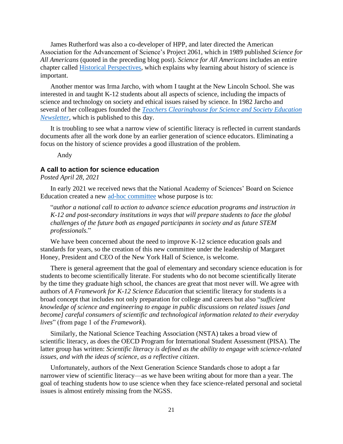James Rutherford was also a co-developer of HPP, and later directed the American Association for the Advancement of Science's Project 2061, which in 1989 published *Science for All Americans* (quoted in the preceding blog post). *Science for All Americans* includes an entire chapter called [Historical Perspectives,](http://www.project2061.org/publications/sfaa/online/chap10.htm) which explains why learning about history of science is important.

Another mentor was Irma Jarcho, with whom I taught at the New Lincoln School. She was interested in and taught K-12 students about all aspects of science, including the impacts of science and technology on society and ethical issues raised by science. In 1982 Jarcho and several of her colleagues founded the *[Teachers Clearinghouse for Science and Society Education](https://www.physics.rutgers.edu/~lindenf/pse/tcn/list.html)  [Newsletter](https://www.physics.rutgers.edu/~lindenf/pse/tcn/list.html)*, which is published to this day.

It is troubling to see what a narrow view of scientific literacy is reflected in current standards documents after all the work done by an earlier generation of science educators. Eliminating a focus on the history of science provides a good illustration of the problem.

Andy

# <span id="page-23-0"></span>**A call to action for science education**

*Posted April 28, 2021*

In early 2021 we received news that the National Academy of Sciences' Board on Science Education created a new [ad-hoc committee](https://www.nap.edu/resource/other/dbasse/cta-science-education/) whose purpose is to:

"*author a national call to action to advance science education programs and instruction in K-12 and post-secondary institutions in ways that will prepare students to face the global challenges of the future both as engaged participants in society and as future STEM professionals.*"

We have been concerned about the need to improve K-12 science education goals and standards for years, so the creation of this new committee under the leadership of Margaret Honey, President and CEO of the New York Hall of Science, is welcome.

There is general agreement that the goal of elementary and secondary science education is for students to become scientifically literate. For students who do not become scientifically literate by the time they graduate high school, the chances are great that most never will. We agree with authors of *A Framework for K-12 Science Education* that scientific literacy for students is a broad concept that includes not only preparation for college and careers but also "*sufficient knowledge of science and engineering to engage in public discussions on related issues [and become] careful consumers of scientific and technological information related to their everyday lives*" (from page 1 of the *Framework*).

Similarly, the National Science Teaching Association (NSTA) takes a broad view of scientific literacy, as does the OECD Program for International Student Assessment (PISA). The latter group has written: *Scientific literacy is defined as the ability to engage with science-related issues, and with the ideas of science, as a reflective citizen*.

Unfortunately, authors of the Next Generation Science Standards chose to adopt a far narrower view of scientific literacy—as we have been writing about for more than a year. The goal of teaching students how to use science when they face science-related personal and societal issues is almost entirely missing from the NGSS.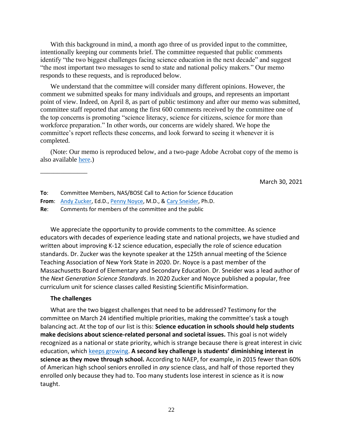With this background in mind, a month ago three of us provided input to the committee, intentionally keeping our comments brief. The committee requested that public comments identify "the two biggest challenges facing science education in the next decade" and suggest "the most important two messages to send to state and national policy makers." Our memo responds to these requests, and is reproduced below.

We understand that the committee will consider many different opinions. However, the comment we submitted speaks for many individuals and groups, and represents an important point of view. Indeed, on April 8, as part of public testimony and after our memo was submitted, committee staff reported that among the first 600 comments received by the committee one of the top concerns is promoting "science literacy, science for citizens, science for more than workforce preparation." In other words, our concerns are widely shared. We hope the committee's report reflects these concerns, and look forward to seeing it whenever it is completed.

(Note: Our memo is reproduced below, and a two-page Adobe Acrobat copy of the memo is also available [here.](https://improvengss.files.wordpress.com/2021/04/zucker-noyce-sneider-comment-on-blog.pdf))

March 30, 2021

We appreciate the opportunity to provide comments to the committee. As science educators with decades of experience leading state and national projects, we have studied and written about improving K-12 science education, especially the role of science education standards. Dr. Zucker was the keynote speaker at the 125th annual meeting of the Science Teaching Association of New York State in 2020. Dr. Noyce is a past member of the Massachusetts Board of Elementary and Secondary Education. Dr. Sneider was a lead author of the *Next Generation Science Standards*. In 2020 Zucker and Noyce published a popular, free curriculum unit for science classes called Resisting Scientific Misinformation.

#### **The challenges**

\_\_\_\_\_\_\_\_\_\_\_\_\_\_

What are the two biggest challenges that need to be addressed? Testimony for the committee on March 24 identified multiple priorities, making the committee's task a tough balancing act. At the top of our list is this: **Science education in schools should help students make decisions about science-related personal and societal issues.** This goal is not widely recognized as a national or state priority, which is strange because there is great interest in civic education, which [keeps growing.](https://www.educatingforamericandemocracy.org/the-report/) **A second key challenge is students' diminishing interest in science as they move through school.** According to NAEP, for example, in 2015 fewer than 60% of American high school seniors enrolled in *any* science class, and half of those reported they enrolled only because they had to. Too many students lose interest in science as it is now taught.

**To**: Committee Members, NAS/BOSE Call to Action for Science Education

**From**: Andy Zucker, Ed.D., Penny Noyce, M.D., & Cary Sneider, Ph.D.

**Re**: Comments for members of the committee and the public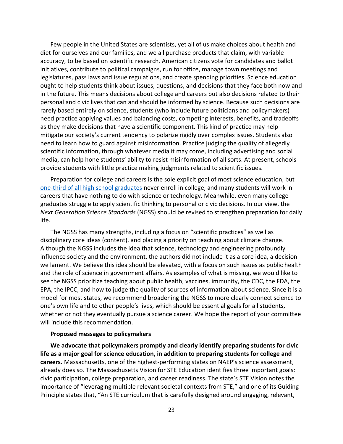Few people in the United States are scientists, yet all of us make choices about health and diet for ourselves and our families, and we all purchase products that claim, with variable accuracy, to be based on scientific research. American citizens vote for candidates and ballot initiatives, contribute to political campaigns, run for office, manage town meetings and legislatures, pass laws and issue regulations, and create spending priorities. Science education ought to help students think about issues, questions, and decisions that they face both now and in the future. This means decisions about college and careers but also decisions related to their personal and civic lives that can and should be informed by science. Because such decisions are rarely based entirely on science, students (who include future politicians and policymakers) need practice applying values and balancing costs, competing interests, benefits, and tradeoffs as they make decisions that have a scientific component. This kind of practice may help mitigate our society's current tendency to polarize rigidly over complex issues. Students also need to learn how to guard against misinformation. Practice judging the quality of allegedly scientific information, through whatever media it may come, including advertising and social media, can help hone students' ability to resist misinformation of all sorts. At present, schools provide students with little practice making judgments related to scientific issues.

Preparation for college and careers is the sole explicit goal of most science education, but [one-third of all high school graduates](https://educationdata.org/high-school-graduates-who-go-to-college) never enroll in college, and many students will work in careers that have nothing to do with science or technology. Meanwhile, even many college graduates struggle to apply scientific thinking to personal or civic decisions. In our view, the *Next Generation Science Standards* (NGSS) should be revised to strengthen preparation for daily life.

The NGSS has many strengths, including a focus on "scientific practices" as well as disciplinary core ideas (content), and placing a priority on teaching about climate change. Although the NGSS includes the idea that science, technology and engineering profoundly influence society and the environment, the authors did not include it as a core idea, a decision we lament. We believe this idea should be elevated, with a focus on such issues as public health and the role of science in government affairs. As examples of what is missing, we would like to see the NGSS prioritize teaching about public health, vaccines, immunity, the CDC, the FDA, the EPA, the IPCC, and how to judge the quality of sources of information about science. Since it is a model for most states, we recommend broadening the NGSS to more clearly connect science to one's own life and to other people's lives, which should be essential goals for all students, whether or not they eventually pursue a science career. We hope the report of your committee will include this recommendation.

#### **Proposed messages to policymakers**

**We advocate that policymakers promptly and clearly identify preparing students for civic life as a major goal for science education, in addition to preparing students for college and careers.** Massachusetts, one of the highest-performing states on NAEP's science assessment, already does so. The Massachusetts Vision for STE Education identifies three important goals: civic participation, college preparation, and career readiness. The state's STE Vision notes the importance of "leveraging multiple relevant societal contexts from STE," and one of its Guiding Principle states that, "An STE curriculum that is carefully designed around engaging, relevant,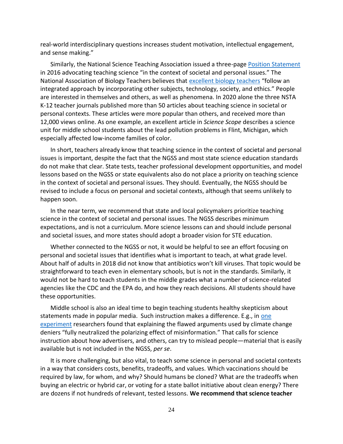real-world interdisciplinary questions increases student motivation, intellectual engagement, and sense making."

Similarly, the National Science Teaching Association issued a three-page [Position Statement](https://www.nsta.org/nstas-official-positions/teaching-science-context-societal-and-personal-issues) in 2016 advocating teaching science "in the context of societal and personal issues." The National Association of Biology Teachers believes that [excellent biology teachers](https://nabt.org/Position-Statements-Characteristics-of-Exemplary-Life-Science-Teaching) "follow an integrated approach by incorporating other subjects, technology, society, and ethics." People are interested in themselves and others, as well as phenomena. In 2020 alone the three NSTA K-12 teacher journals published more than 50 articles about teaching science in societal or personal contexts. These articles were more popular than others, and received more than 12,000 views online. As one example, an excellent article in *Science Scope* describes a science unit for middle school students about the lead pollution problems in Flint, Michigan, which especially affected low-income families of color.

In short, teachers already know that teaching science in the context of societal and personal issues is important, despite the fact that the NGSS and most state science education standards do not make that clear. State tests, teacher professional development opportunities, and model lessons based on the NGSS or state equivalents also do not place a priority on teaching science in the context of societal and personal issues. They should. Eventually, the NGSS should be revised to include a focus on personal and societal contexts, although that seems unlikely to happen soon.

In the near term, we recommend that state and local policymakers prioritize teaching science in the context of societal and personal issues. The NGSS describes minimum expectations, and is not a curriculum. More science lessons can and should include personal and societal issues, and more states should adopt a broader vision for STE education.

Whether connected to the NGSS or not, it would be helpful to see an effort focusing on personal and societal issues that identifies what is important to teach, at what grade level. About half of adults in 2018 did not know that antibiotics won't kill viruses. That topic would be straightforward to teach even in elementary schools, but is not in the standards. Similarly, it would not be hard to teach students in the middle grades what a number of science-related agencies like the CDC and the EPA do, and how they reach decisions. All students should have these opportunities.

Middle school is also an ideal time to begin teaching students healthy skepticism about statements made in popular media. Such instruction makes a difference. E.g., in [one](https://journals.plos.org/plosone/article?id=10.1371/journal.pone.0175799)  [experiment](https://journals.plos.org/plosone/article?id=10.1371/journal.pone.0175799) researchers found that explaining the flawed arguments used by climate change deniers "fully neutralized the polarizing effect of misinformation." That calls for science instruction about how advertisers, and others, can try to mislead people—material that is easily available but is not included in the NGSS, *per se*.

It is more challenging, but also vital, to teach some science in personal and societal contexts in a way that considers costs, benefits, tradeoffs, and values. Which vaccinations should be required by law, for whom, and why? Should humans be cloned? What are the tradeoffs when buying an electric or hybrid car, or voting for a state ballot initiative about clean energy? There are dozens if not hundreds of relevant, tested lessons. **We recommend that science teacher**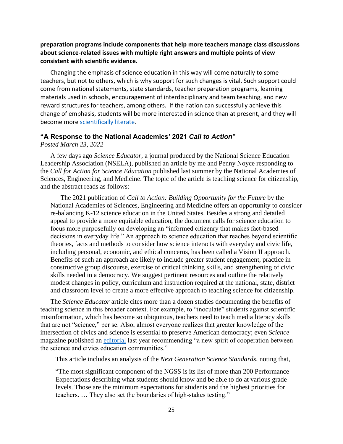**preparation programs include components that help more teachers manage class discussions about science-related issues with multiple right answers and multiple points of view consistent with scientific evidence.**

Changing the emphasis of science education in this way will come naturally to some teachers, but not to others, which is why support for such changes is vital. Such support could come from national statements, state standards, teacher preparation programs, learning materials used in schools, encouragement of interdisciplinary and team teaching, and new reward structures for teachers, among others. If the nation can successfully achieve this change of emphasis, students will be more interested in science than at present, and they will become mor[e scientifically literate.](https://www.nsta.org/science-teacher/science-teacher-marchapril-2021/teaching-scientific-literacy)

# **"A Response to the National Academies' 2021** *Call to Action***"**

#### *Posted March 23, 2022*

A few days ago *Science Educator*, a journal produced by the National Science Education Leadership Association (NSELA), published an article by me and Penny Noyce responding to the *Call for Action for Science Education* published last summer by the National Academies of Sciences, Engineering, and Medicine. The topic of the article is teaching science for citizenship, and the abstract reads as follows:

The 2021 publication of *Call to Action: Building Opportunity for the Future* by the National Academies of Sciences, Engineering and Medicine offers an opportunity to consider re-balancing K-12 science education in the United States. Besides a strong and detailed appeal to provide a more equitable education, the document calls for science education to focus more purposefully on developing an "informed citizenry that makes fact-based decisions in everyday life." An approach to science education that reaches beyond scientific theories, facts and methods to consider how science interacts with everyday and civic life, including personal, economic, and ethical concerns, has been called a Vision II approach. Benefits of such an approach are likely to include greater student engagement, practice in constructive group discourse, exercise of critical thinking skills, and strengthening of civic skills needed in a democracy. We suggest pertinent resources and outline the relatively modest changes in policy, curriculum and instruction required at the national, state, district and classroom level to create a more effective approach to teaching science for citizenship.

The *Science Educator* article cites more than a dozen studies documenting the benefits of teaching science in this broader context. For example, to "inoculate" students against scientific misinformation, which has become so ubiquitous, teachers need to teach media literacy skills that are not "science," per se. Also, almost everyone realizes that greater knowledge of the intersection of civics and science is essential to preserve American democracy; even *Science*  magazine published an [editorial](https://www.science.org/doi/10.1126/science.abg7402) last year recommending "a new spirit of cooperation between the science and civics education communities."

This article includes an analysis of the *Next Generation Science Standards*, noting that,

"The most significant component of the NGSS is its list of more than 200 Performance Expectations describing what students should know and be able to do at various grade levels. Those are the minimum expectations for students and the highest priorities for teachers. … They also set the boundaries of high-stakes testing."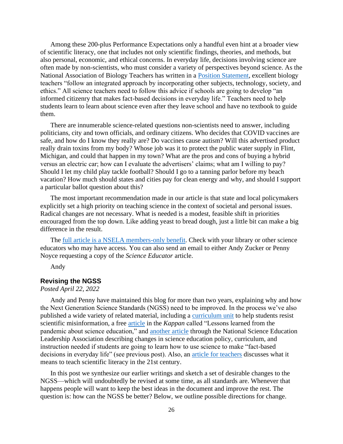Among these 200-plus Performance Expectations only a handful even hint at a broader view of scientific literacy, one that includes not only scientific findings, theories, and methods, but also personal, economic, and ethical concerns. In everyday life, decisions involving science are often made by non-scientists, who must consider a variety of perspectives beyond science. As the National Association of Biology Teachers has written in a [Position Statement,](https://nabt.org/Position-Statements-Characteristics-of-Exemplary-Life-Science-Teaching) excellent biology teachers "follow an integrated approach by incorporating other subjects, technology, society, and ethics." All science teachers need to follow this advice if schools are going to develop "an informed citizenry that makes fact-based decisions in everyday life." Teachers need to help students learn to learn about science even after they leave school and have no textbook to guide them.

There are innumerable science-related questions non-scientists need to answer, including politicians, city and town officials, and ordinary citizens. Who decides that COVID vaccines are safe, and how do I know they really are? Do vaccines cause autism? Will this advertised product really drain toxins from my body? Whose job was it to protect the public water supply in Flint, Michigan, and could that happen in my town? What are the pros and cons of buying a hybrid versus an electric car; how can I evaluate the advertisers' claims; what am I willing to pay? Should I let my child play tackle football? Should I go to a tanning parlor before my beach vacation? How much should states and cities pay for clean energy and why, and should I support a particular ballot question about this?

The most important recommendation made in our article is that state and local policymakers explicitly set a high priority on teaching science in the context of societal and personal issues. Radical changes are not necessary. What is needed is a modest, feasible shift in priorities encouraged from the top down. Like adding yeast to bread dough, just a little bit can make a big difference in the result.

The **full article is a NSELA members-only benefit**. Check with your library or other science educators who may have access. You can also send an email to either Andy Zucker or Penny Noyce requesting a copy of the *Science Educator* article.

Andy

## <span id="page-28-0"></span>**Revising the NGSS**

*Posted April 22, 2022*

Andy and Penny have maintained this blog for more than two years, explaining why and how the Next Generation Science Standards (NGSS) need to be improved. In the process we've also published a wide variety of related material, including a [curriculum unit](https://www.nsta.org/publications/article.aspx?id=bNApeJFhPcI=) to help students resist scientific misinformation, a free [article](https://kappanonline.org/lessons-from-covid-19-pandemic-science-education/) in the *Kappan* called "Lessons learned from the pandemic about science education," and [another article](https://nsela.mclms.net/en/package/9044/view) through the National Science Education Leadership Association describing changes in science education policy, curriculum, and instruction needed if students are going to learn how to use science to make "fact-based decisions in everyday life" (see previous post). Also, an [article for teachers](https://www.nsta.org/science-teacher/science-teacher-marchapril-2021/teaching-scientific-literacy) discusses what it means to teach scientific literacy in the 21st century.

In this post we synthesize our earlier writings and sketch a set of desirable changes to the NGSS—which will undoubtedly be revised at some time, as all standards are. Whenever that happens people will want to keep the best ideas in the document and improve the rest. The question is: how can the NGSS be better? Below, we outline possible directions for change.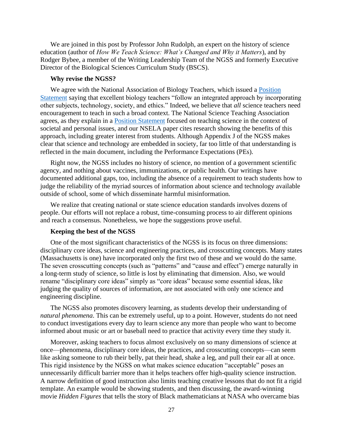We are joined in this post by Professor John Rudolph, an expert on the history of science education (author of *How We Teach Science: What's Changed and Why it Matters*), and by Rodger Bybee, a member of the Writing Leadership Team of the NGSS and formerly Executive Director of the Biological Sciences Curriculum Study (BSCS).

#### **Why revise the NGSS?**

We agree with the National Association of Biology Teachers, which issued a [Position](https://nabt.org/Position-Statements-Characteristics-of-Exemplary-Life-Science-Teaching)  [Statement](https://nabt.org/Position-Statements-Characteristics-of-Exemplary-Life-Science-Teaching) saying that excellent biology teachers "follow an integrated approach by incorporating other subjects, technology, society, and ethics." Indeed, we believe that *all* science teachers need encouragement to teach in such a broad context. The National Science Teaching Association agrees, as they explain in a [Position Statement](https://www.nsta.org/nstas-official-positions/teaching-science-context-societal-and-personal-issues) focused on teaching science in the context of societal and personal issues, and our NSELA paper cites research showing the benefits of this approach, including greater interest from students. Although Appendix J of the NGSS makes clear that science and technology are embedded in society, far too little of that understanding is reflected in the main document, including the Performance Expectations (PEs).

Right now, the NGSS includes no history of science, no mention of a government scientific agency, and nothing about vaccines, immunizations, or public health. Our writings have documented additional gaps, too, including the absence of a requirement to teach students how to judge the reliability of the myriad sources of information about science and technology available outside of school, some of which disseminate harmful misinformation.

We realize that creating national or state science education standards involves dozens of people. Our efforts will not replace a robust, time-consuming process to air different opinions and reach a consensus. Nonetheless, we hope the suggestions prove useful.

# **Keeping the best of the NGSS**

One of the most significant characteristics of the NGSS is its focus on three dimensions: disciplinary core ideas, science and engineering practices, and crosscutting concepts. Many states (Massachusetts is one) have incorporated only the first two of these and we would do the same. The seven crosscutting concepts (such as "patterns" and "cause and effect") emerge naturally in a long-term study of science, so little is lost by eliminating that dimension. Also, we would rename "disciplinary core ideas" simply as "core ideas" because some essential ideas, like judging the quality of sources of information, are not associated with only one science and engineering discipline.

The NGSS also promotes discovery learning, as students develop their understanding of *natural phenomena*. This can be extremely useful, up to a point. However, students do not need to conduct investigations every day to learn science any more than people who want to become informed about music or art or baseball need to practice that activity every time they study it.

Moreover, asking teachers to focus almost exclusively on so many dimensions of science at once—phenomena, disciplinary core ideas, the practices, and crosscutting concepts—can seem like asking someone to rub their belly, pat their head, shake a leg, and pull their ear all at once. This rigid insistence by the NGSS on what makes science education "acceptable" poses an unnecessarily difficult barrier more than it helps teachers offer high-quality science instruction. A narrow definition of good instruction also limits teaching creative lessons that do not fit a rigid template. An example would be showing students, and then discussing, the award-winning movie *Hidden Figures* that tells the story of Black mathematicians at NASA who overcame bias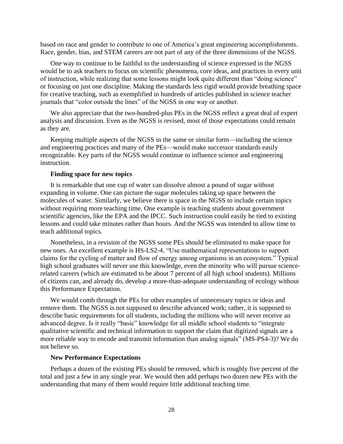based on race and gender to contribute to one of America's great engineering accomplishments. Race, gender, bias, and STEM careers are not part of any of the three dimensions of the NGSS.

One way to continue to be faithful to the understanding of science expressed in the NGSS would be to ask teachers to focus on scientific phenomena, core ideas, and practices in every unit of instruction, while realizing that some lessons might look quite different than "doing science" or focusing on just one discipline. Making the standards less rigid would provide breathing space for creative teaching, such as exemplified in hundreds of articles published in science teacher journals that "color outside the lines" of the NGSS in one way or another.

We also appreciate that the two-hundred-plus PEs in the NGSS reflect a great deal of expert analysis and discussion. Even as the NGSS is revised, most of those expectations could remain as they are.

Keeping multiple aspects of the NGSS in the same or similar form—including the science and engineering practices and many of the PEs—would make successor standards easily recognizable. Key parts of the NGSS would continue to influence science and engineering instruction.

## **Finding space for new topics**

It is remarkable that one cup of water can dissolve almost a pound of sugar without expanding in volume. One can picture the sugar molecules taking up space between the molecules of water. Similarly, we believe there is space in the NGSS to include certain topics without requiring more teaching time. One example is teaching students about government scientific agencies, like the EPA and the IPCC. Such instruction could easily be tied to existing lessons and could take minutes rather than hours. And the NGSS was intended to allow time to teach additional topics.

Nonetheless, in a revision of the NGSS some PEs should be eliminated to make space for new ones. An excellent example is HS-LS2-4, "Use mathematical representations to support claims for the cycling of matter and flow of energy among organisms in an ecosystem." Typical high school graduates will never use this knowledge, even the minority who will pursue sciencerelated careers (which are estimated to be about 7 percent of all high school students). Millions of citizens can, and already do, develop a more-than-adequate understanding of ecology without this Performance Expectation.

We would comb through the PEs for other examples of unnecessary topics or ideas and remove them. The NGSS is not supposed to describe advanced work; rather, it is supposed to describe basic requirements for *all* students, including the millions who will never receive an advanced degree. Is it really "basic" knowledge for all middle school students to "integrate qualitative scientific and technical information to support the claim that digitized signals are a more reliable way to encode and transmit information than analog signals" (MS-PS4-3)? We do not believe so.

#### **New Performance Expectations**

Perhaps a dozen of the existing PEs should be removed, which is roughly five percent of the total and just a few in any single year. We would then add perhaps two dozen new PEs with the understanding that many of them would require little additional teaching time.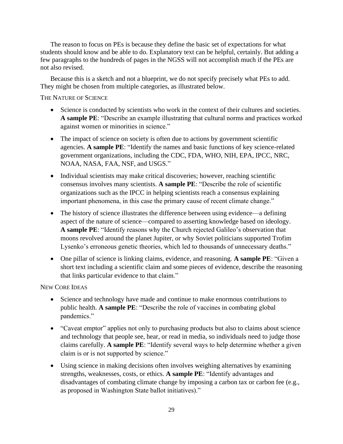The reason to focus on PEs is because they define the basic set of expectations for what students should know and be able to do. Explanatory text can be helpful, certainly. But adding a few paragraphs to the hundreds of pages in the NGSS will not accomplish much if the PEs are not also revised.

Because this is a sketch and not a blueprint, we do not specify precisely what PEs to add. They might be chosen from multiple categories, as illustrated below.

THE NATURE OF SCIENCE

- Science is conducted by scientists who work in the context of their cultures and societies. **A sample PE**: "Describe an example illustrating that cultural norms and practices worked against women or minorities in science."
- The impact of science on society is often due to actions by government scientific agencies. **A sample PE**: "Identify the names and basic functions of key science-related government organizations, including the CDC, FDA, WHO, NIH, EPA, IPCC, NRC, NOAA, NASA, FAA, NSF, and USGS."
- Individual scientists may make critical discoveries; however, reaching scientific consensus involves many scientists. **A sample PE**: "Describe the role of scientific organizations such as the IPCC in helping scientists reach a consensus explaining important phenomena, in this case the primary cause of recent climate change."
- The history of science illustrates the difference between using evidence—a defining aspect of the nature of science—compared to asserting knowledge based on ideology. **A sample PE**: "Identify reasons why the Church rejected Galileo's observation that moons revolved around the planet Jupiter, or why Soviet politicians supported Trofim Lysenko's erroneous genetic theories, which led to thousands of unnecessary deaths."
- One pillar of science is linking claims, evidence, and reasoning. **A sample PE**: "Given a short text including a scientific claim and some pieces of evidence, describe the reasoning that links particular evidence to that claim."

NEW CORE IDEAS

- Science and technology have made and continue to make enormous contributions to public health. **A sample PE**: "Describe the role of vaccines in combating global pandemics."
- "Caveat emptor" applies not only to purchasing products but also to claims about science and technology that people see, hear, or read in media, so individuals need to judge those claims carefully. **A sample PE**: "Identify several ways to help determine whether a given claim is or is not supported by science."
- Using science in making decisions often involves weighing alternatives by examining strengths, weaknesses, costs, or ethics. **A sample PE**: "Identify advantages and disadvantages of combating climate change by imposing a carbon tax or carbon fee (e.g., as proposed in Washington State ballot initiatives)."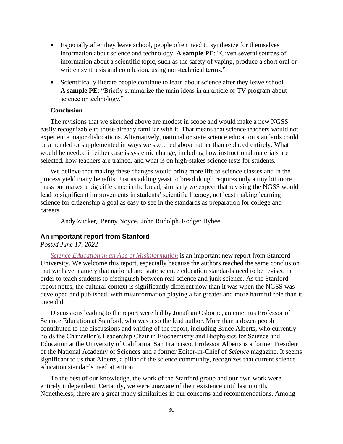- Especially after they leave school, people often need to synthesize for themselves information about science and technology. **A sample PE**: "Given several sources of information about a scientific topic, such as the safety of vaping, produce a short oral or written synthesis and conclusion, using non-technical terms."
- Scientifically literate people continue to learn about science after they leave school. **A sample PE**: "Briefly summarize the main ideas in an article or TV program about science or technology."

## **Conclusion**

The revisions that we sketched above are modest in scope and would make a new NGSS easily recognizable to those already familiar with it. That means that science teachers would not experience major dislocations. Alternatively, national or state science education standards could be amended or supplemented in ways we sketched above rather than replaced entirely. What would be needed in either case is systemic change, including how instructional materials are selected, how teachers are trained, and what is on high-stakes science tests for students.

We believe that making these changes would bring more life to science classes and in the process yield many benefits. Just as adding yeast to bread dough requires only a tiny bit more mass but makes a big difference in the bread, similarly we expect that revising the NGSS would lead to significant improvements in students' scientific literacy, not least making learning science for citizenship a goal as easy to see in the standards as preparation for college and careers.

Andy Zucker, Penny Noyce, John Rudolph, Rodger Bybee

#### <span id="page-32-0"></span>**An important report from Stanford**

*Posted June 17, 2022*

*Science Education in an Age of Misinformation* is an important new report from Stanford University. We welcome this report, especially because the authors reached the same conclusion that we have, namely that national and state science education standards need to be revised in order to teach students to distinguish between real science and junk science. As the Stanford report notes, the cultural context is significantly different now than it was when the NGSS was developed and published, with misinformation playing a far greater and more harmful role than it once did.

Discussions leading to the report were led by Jonathan Osborne, an emeritus Professor of Science Education at Stanford, who was also the lead author. More than a dozen people contributed to the discussions and writing of the report, including Bruce Alberts, who currently holds the Chancellor's Leadership Chair in Biochemistry and Biophysics for Science and Education at the University of California, San Francisco. Professor Alberts is a former President of the National Academy of Sciences and a former Editor-in-Chief of *Science* magazine. It seems significant to us that Alberts, a pillar of the science community, recognizes that current science education standards need attention.

To the best of our knowledge, the work of the Stanford group and our own work were entirely independent. Certainly, we were unaware of their existence until last month. Nonetheless, there are a great many similarities in our concerns and recommendations. Among